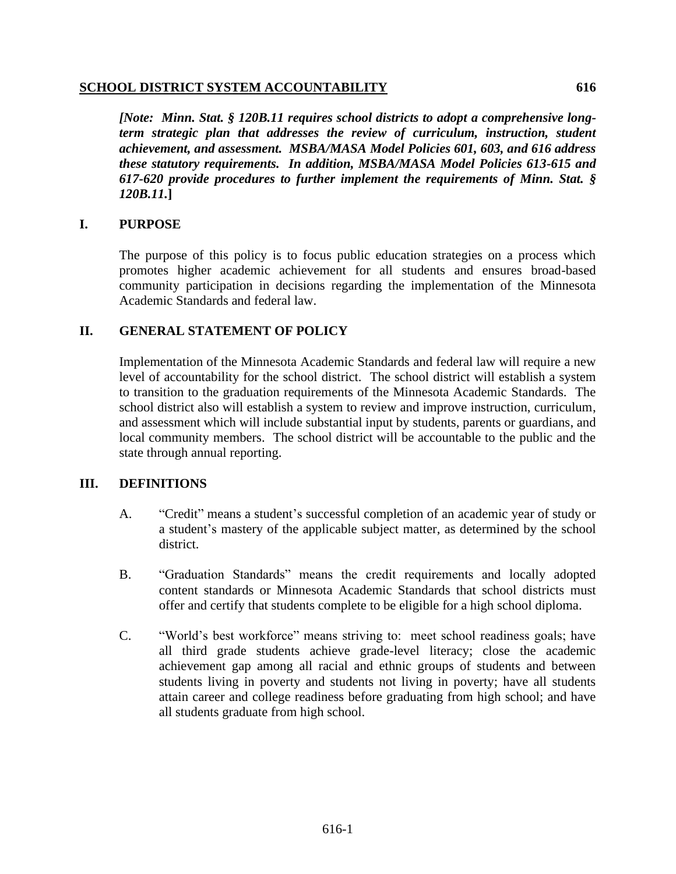#### **SCHOOL DISTRICT SYSTEM ACCOUNTABILITY 616**

*[Note: Minn. Stat. § 120B.11 requires school districts to adopt a comprehensive longterm strategic plan that addresses the review of curriculum, instruction, student achievement, and assessment. MSBA/MASA Model Policies 601, 603, and 616 address these statutory requirements. In addition, MSBA/MASA Model Policies 613-615 and 617-620 provide procedures to further implement the requirements of Minn. Stat. § 120B.11.***]**

# **I. PURPOSE**

The purpose of this policy is to focus public education strategies on a process which promotes higher academic achievement for all students and ensures broad-based community participation in decisions regarding the implementation of the Minnesota Academic Standards and federal law.

# **II. GENERAL STATEMENT OF POLICY**

Implementation of the Minnesota Academic Standards and federal law will require a new level of accountability for the school district. The school district will establish a system to transition to the graduation requirements of the Minnesota Academic Standards. The school district also will establish a system to review and improve instruction, curriculum, and assessment which will include substantial input by students, parents or guardians, and local community members. The school district will be accountable to the public and the state through annual reporting.

# **III. DEFINITIONS**

- A. "Credit" means a student's successful completion of an academic year of study or a student's mastery of the applicable subject matter, as determined by the school district.
- B. "Graduation Standards" means the credit requirements and locally adopted content standards or Minnesota Academic Standards that school districts must offer and certify that students complete to be eligible for a high school diploma.
- C. "World's best workforce" means striving to: meet school readiness goals; have all third grade students achieve grade-level literacy; close the academic achievement gap among all racial and ethnic groups of students and between students living in poverty and students not living in poverty; have all students attain career and college readiness before graduating from high school; and have all students graduate from high school.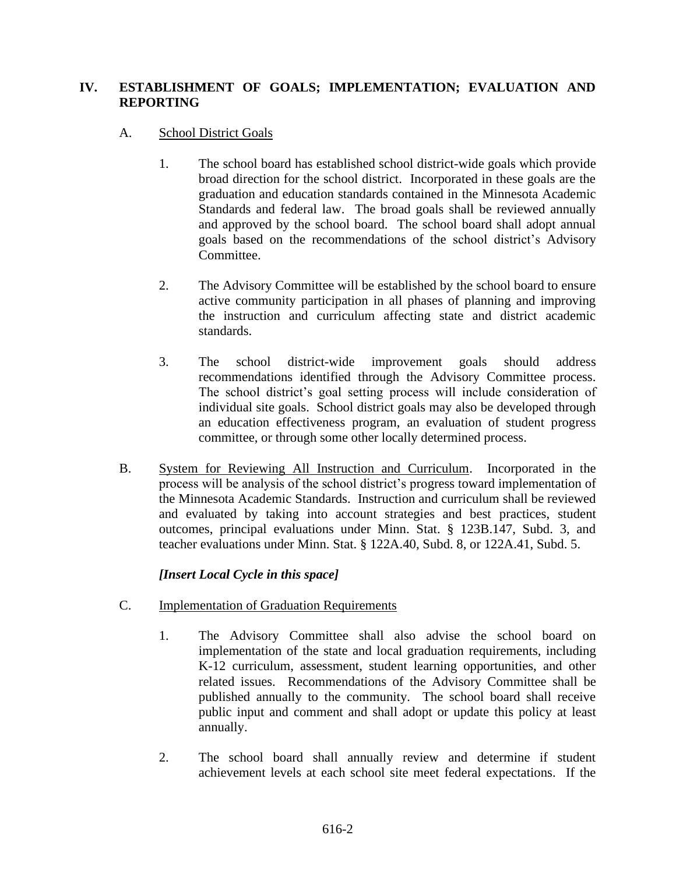# **IV. ESTABLISHMENT OF GOALS; IMPLEMENTATION; EVALUATION AND REPORTING**

# A. School District Goals

- 1. The school board has established school district-wide goals which provide broad direction for the school district. Incorporated in these goals are the graduation and education standards contained in the Minnesota Academic Standards and federal law. The broad goals shall be reviewed annually and approved by the school board. The school board shall adopt annual goals based on the recommendations of the school district's Advisory Committee.
- 2. The Advisory Committee will be established by the school board to ensure active community participation in all phases of planning and improving the instruction and curriculum affecting state and district academic standards.
- 3. The school district-wide improvement goals should address recommendations identified through the Advisory Committee process. The school district's goal setting process will include consideration of individual site goals. School district goals may also be developed through an education effectiveness program, an evaluation of student progress committee, or through some other locally determined process.
- B. System for Reviewing All Instruction and Curriculum. Incorporated in the process will be analysis of the school district's progress toward implementation of the Minnesota Academic Standards. Instruction and curriculum shall be reviewed and evaluated by taking into account strategies and best practices, student outcomes, principal evaluations under Minn. Stat. § 123B.147, Subd. 3, and teacher evaluations under Minn. Stat. § 122A.40, Subd. 8, or 122A.41, Subd. 5.

# *[Insert Local Cycle in this space]*

- C. Implementation of Graduation Requirements
	- 1. The Advisory Committee shall also advise the school board on implementation of the state and local graduation requirements, including K-12 curriculum, assessment, student learning opportunities, and other related issues. Recommendations of the Advisory Committee shall be published annually to the community. The school board shall receive public input and comment and shall adopt or update this policy at least annually.
	- 2. The school board shall annually review and determine if student achievement levels at each school site meet federal expectations. If the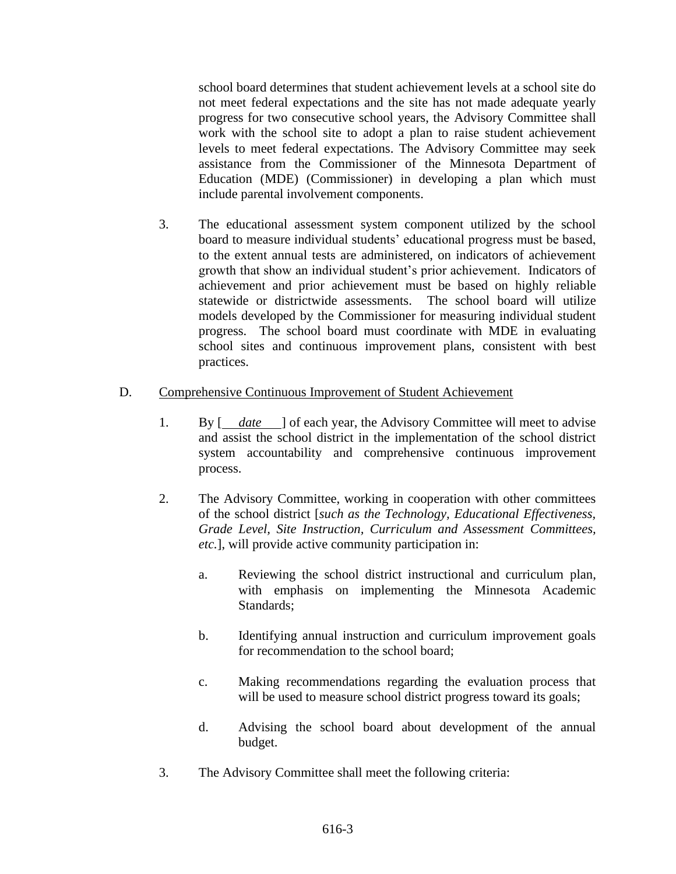school board determines that student achievement levels at a school site do not meet federal expectations and the site has not made adequate yearly progress for two consecutive school years, the Advisory Committee shall work with the school site to adopt a plan to raise student achievement levels to meet federal expectations. The Advisory Committee may seek assistance from the Commissioner of the Minnesota Department of Education (MDE) (Commissioner) in developing a plan which must include parental involvement components.

3. The educational assessment system component utilized by the school board to measure individual students' educational progress must be based, to the extent annual tests are administered, on indicators of achievement growth that show an individual student's prior achievement. Indicators of achievement and prior achievement must be based on highly reliable statewide or districtwide assessments. The school board will utilize models developed by the Commissioner for measuring individual student progress. The school board must coordinate with MDE in evaluating school sites and continuous improvement plans, consistent with best practices.

#### D. Comprehensive Continuous Improvement of Student Achievement

- 1. By  $\begin{bmatrix} \frac{date}{\end{bmatrix}$  of each year, the Advisory Committee will meet to advise and assist the school district in the implementation of the school district system accountability and comprehensive continuous improvement process.
- 2. The Advisory Committee, working in cooperation with other committees of the school district [*such as the Technology, Educational Effectiveness, Grade Level, Site Instruction, Curriculum and Assessment Committees, etc.*], will provide active community participation in:
	- a. Reviewing the school district instructional and curriculum plan, with emphasis on implementing the Minnesota Academic Standards;
	- b. Identifying annual instruction and curriculum improvement goals for recommendation to the school board;
	- c. Making recommendations regarding the evaluation process that will be used to measure school district progress toward its goals;
	- d. Advising the school board about development of the annual budget.
- 3. The Advisory Committee shall meet the following criteria: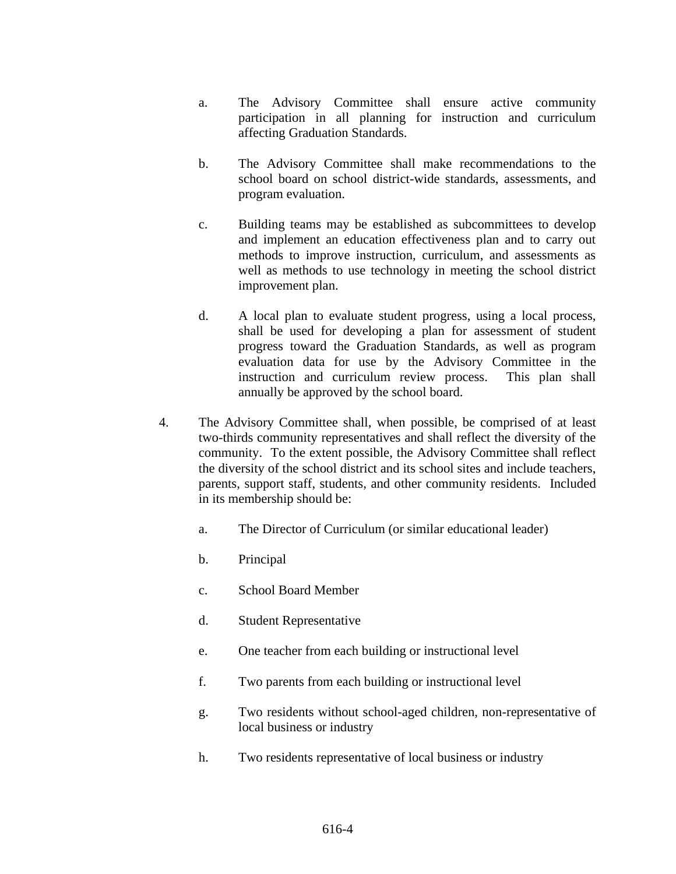- a. The Advisory Committee shall ensure active community participation in all planning for instruction and curriculum affecting Graduation Standards.
- b. The Advisory Committee shall make recommendations to the school board on school district-wide standards, assessments, and program evaluation.
- c. Building teams may be established as subcommittees to develop and implement an education effectiveness plan and to carry out methods to improve instruction, curriculum, and assessments as well as methods to use technology in meeting the school district improvement plan.
- d. A local plan to evaluate student progress, using a local process, shall be used for developing a plan for assessment of student progress toward the Graduation Standards, as well as program evaluation data for use by the Advisory Committee in the instruction and curriculum review process. This plan shall annually be approved by the school board.
- 4. The Advisory Committee shall, when possible, be comprised of at least two-thirds community representatives and shall reflect the diversity of the community. To the extent possible, the Advisory Committee shall reflect the diversity of the school district and its school sites and include teachers, parents, support staff, students, and other community residents. Included in its membership should be:
	- a. The Director of Curriculum (or similar educational leader)
	- b. Principal
	- c. School Board Member
	- d. Student Representative
	- e. One teacher from each building or instructional level
	- f. Two parents from each building or instructional level
	- g. Two residents without school-aged children, non-representative of local business or industry
	- h. Two residents representative of local business or industry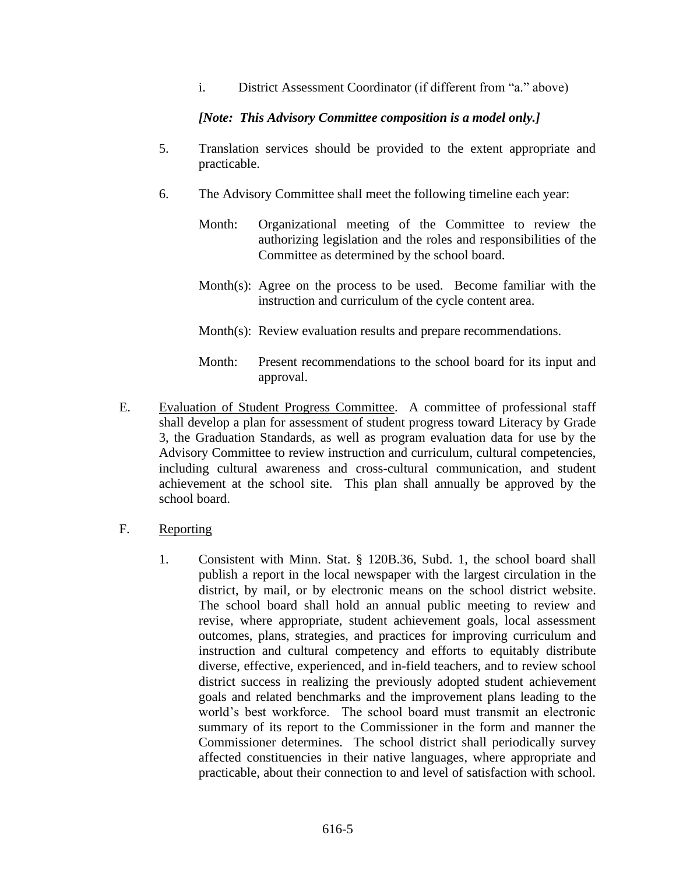i. District Assessment Coordinator (if different from "a." above)

#### *[Note: This Advisory Committee composition is a model only.]*

- 5. Translation services should be provided to the extent appropriate and practicable.
- 6. The Advisory Committee shall meet the following timeline each year:
	- Month: Organizational meeting of the Committee to review the authorizing legislation and the roles and responsibilities of the Committee as determined by the school board.
	- Month(s): Agree on the process to be used. Become familiar with the instruction and curriculum of the cycle content area.
	- Month(s): Review evaluation results and prepare recommendations.
	- Month: Present recommendations to the school board for its input and approval.
- E. Evaluation of Student Progress Committee. A committee of professional staff shall develop a plan for assessment of student progress toward Literacy by Grade 3, the Graduation Standards, as well as program evaluation data for use by the Advisory Committee to review instruction and curriculum, cultural competencies, including cultural awareness and cross-cultural communication, and student achievement at the school site. This plan shall annually be approved by the school board.
- F. Reporting
	- 1. Consistent with Minn. Stat. § 120B.36, Subd. 1, the school board shall publish a report in the local newspaper with the largest circulation in the district, by mail, or by electronic means on the school district website. The school board shall hold an annual public meeting to review and revise, where appropriate, student achievement goals, local assessment outcomes, plans, strategies, and practices for improving curriculum and instruction and cultural competency and efforts to equitably distribute diverse, effective, experienced, and in-field teachers, and to review school district success in realizing the previously adopted student achievement goals and related benchmarks and the improvement plans leading to the world's best workforce. The school board must transmit an electronic summary of its report to the Commissioner in the form and manner the Commissioner determines. The school district shall periodically survey affected constituencies in their native languages, where appropriate and practicable, about their connection to and level of satisfaction with school.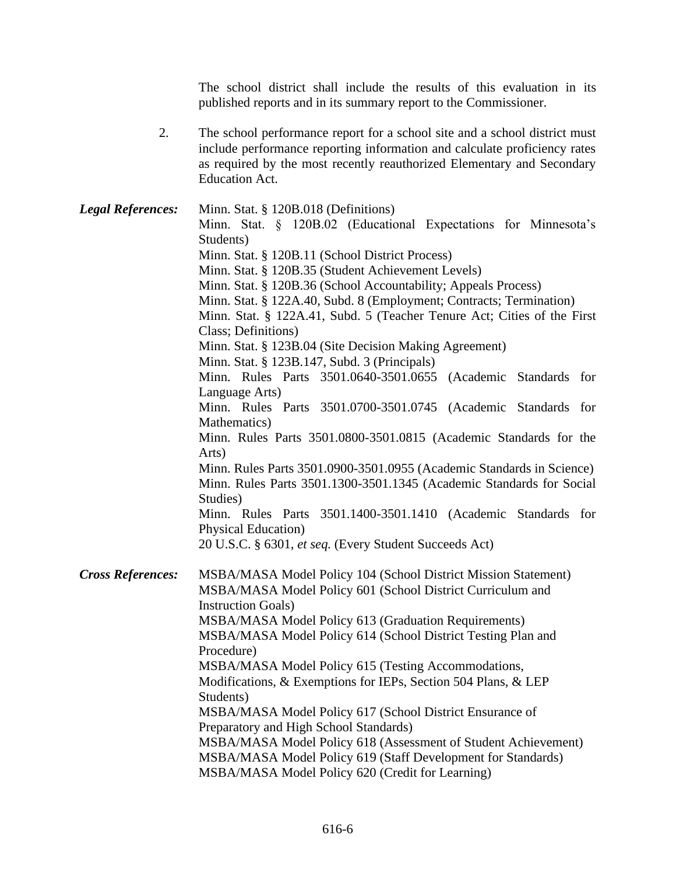The school district shall include the results of this evaluation in its published reports and in its summary report to the Commissioner.

2. The school performance report for a school site and a school district must include performance reporting information and calculate proficiency rates as required by the most recently reauthorized Elementary and Secondary Education Act.

*Legal References:* Minn. Stat. § 120B.018 (Definitions) Minn. Stat. § 120B.02 (Educational Expectations for Minnesota's Students) Minn. Stat. § 120B.11 (School District Process) Minn. Stat. § 120B.35 (Student Achievement Levels) Minn. Stat. § 120B.36 (School Accountability; Appeals Process) Minn. Stat. § 122A.40, Subd. 8 (Employment; Contracts; Termination) Minn. Stat. § 122A.41, Subd. 5 (Teacher Tenure Act; Cities of the First Class; Definitions) Minn. Stat. § 123B.04 (Site Decision Making Agreement) Minn. Stat. § 123B.147, Subd. 3 (Principals) Minn. Rules Parts 3501.0640-3501.0655 (Academic Standards for Language Arts) Minn. Rules Parts 3501.0700-3501.0745 (Academic Standards for Mathematics) Minn. Rules Parts 3501.0800-3501.0815 (Academic Standards for the Arts) Minn. Rules Parts 3501.0900-3501.0955 (Academic Standards in Science) Minn. Rules Parts 3501.1300-3501.1345 (Academic Standards for Social Studies) Minn. Rules Parts 3501.1400-3501.1410 (Academic Standards for Physical Education) 20 U.S.C. § 6301, *et seq.* (Every Student Succeeds Act) *Cross References:* MSBA/MASA Model Policy 104 (School District Mission Statement) MSBA/MASA Model Policy 601 (School District Curriculum and Instruction Goals) MSBA/MASA Model Policy 613 (Graduation Requirements) MSBA/MASA Model Policy 614 (School District Testing Plan and Procedure) MSBA/MASA Model Policy 615 (Testing Accommodations, Modifications, & Exemptions for IEPs, Section 504 Plans, & LEP Students) MSBA/MASA Model Policy 617 (School District Ensurance of Preparatory and High School Standards) MSBA/MASA Model Policy 618 (Assessment of Student Achievement) MSBA/MASA Model Policy 619 (Staff Development for Standards) MSBA/MASA Model Policy 620 (Credit for Learning)